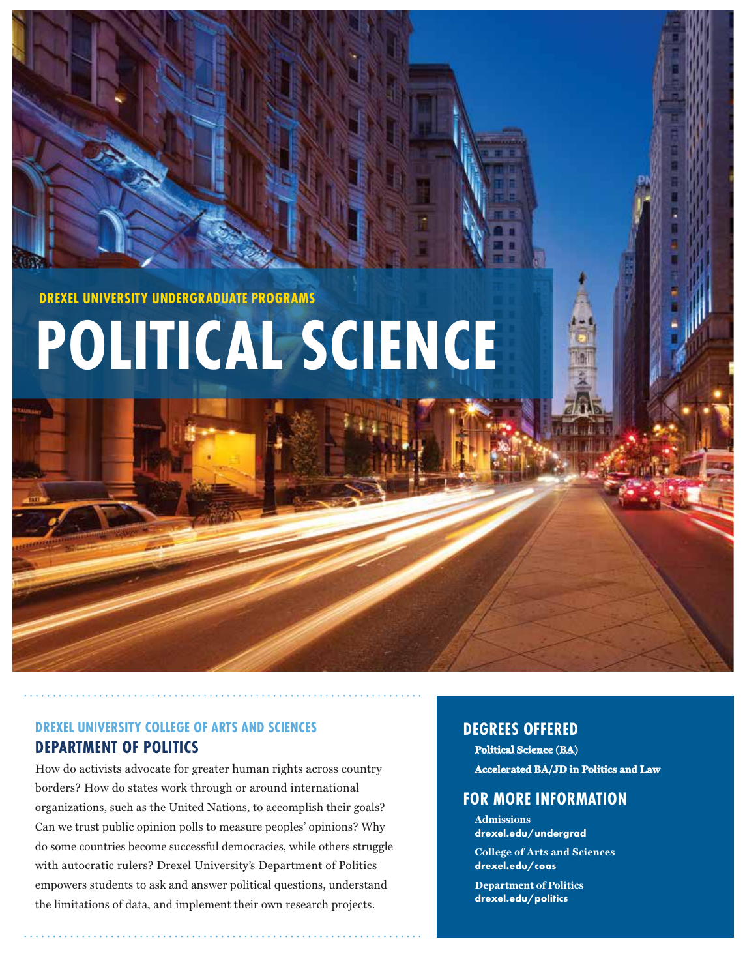**DREXEL UNIVERSITY UNDERGRADUATE PROGRAMS**

# **POLITICAL SCIENCE**

# **DREXEL UNIVERSITY COLLEGE OF ARTS AND SCIENCES DEPARTMENT OF POLITICS**

How do activists advocate for greater human rights across country borders? How do states work through or around international organizations, such as the United Nations, to accomplish their goals? Can we trust public opinion polls to measure peoples' opinions? Why do some countries become successful democracies, while others struggle with autocratic rulers? Drexel University's Department of Politics empowers students to ask and answer political questions, understand the limitations of data, and implement their own research projects.

# **DEGREES OFFERED**

**Political Science (BA) Accelerated BA/JD in Politics and Law**

# **FOR MORE INFORMATION**

**Admissions drexel.edu/undergrad College of Arts and Sciences drexel.edu/coas**

**Department of Politics drexel.edu/politics**